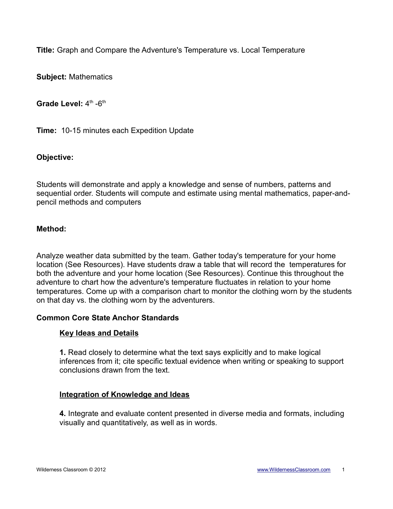**Title:** Graph and Compare the Adventure's Temperature vs. Local Temperature

**Subject:** Mathematics

**Grade Level:** 4<sup>th</sup> -6<sup>th</sup>

**Time:** 10-15 minutes each Expedition Update

#### **Objective:**

Students will demonstrate and apply a knowledge and sense of numbers, patterns and sequential order. Students will compute and estimate using mental mathematics, paper-andpencil methods and computers

#### **Method:**

Analyze weather data submitted by the team. Gather today's temperature for your home location (See Resources). Have students draw a table that will record the temperatures for both the adventure and your home location (See Resources). Continue this throughout the adventure to chart how the adventure's temperature fluctuates in relation to your home temperatures. Come up with a comparison chart to monitor the clothing worn by the students on that day vs. the clothing worn by the adventurers.

#### **Common Core State Anchor Standards**

#### **Key Ideas and Details**

**1.** Read closely to determine what the text says explicitly and to make logical inferences from it; cite specific textual evidence when writing or speaking to support conclusions drawn from the text.

#### **Integration of Knowledge and Ideas**

**4.** Integrate and evaluate content presented in diverse media and formats, including visually and quantitatively, as well as in words.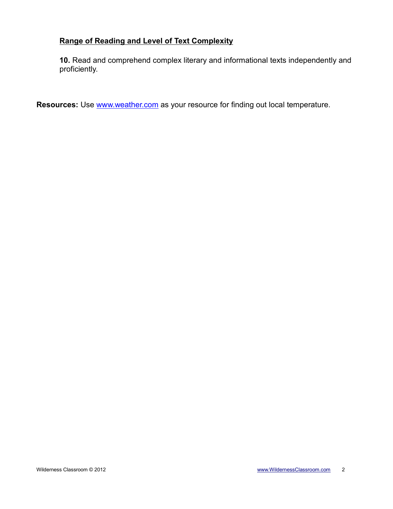## **Range of Reading and Level of Text Complexity**

**10.** Read and comprehend complex literary and informational texts independently and proficiently.

**Resources:** Use **www.weather.com** as your resource for finding out local temperature.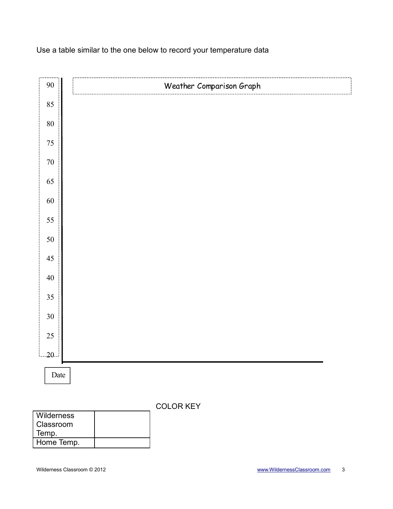### Use a table similar to the one below to record your temperature data



| Wilderness |  |
|------------|--|
| Classroom  |  |
| Temp.      |  |
| Home Temp. |  |